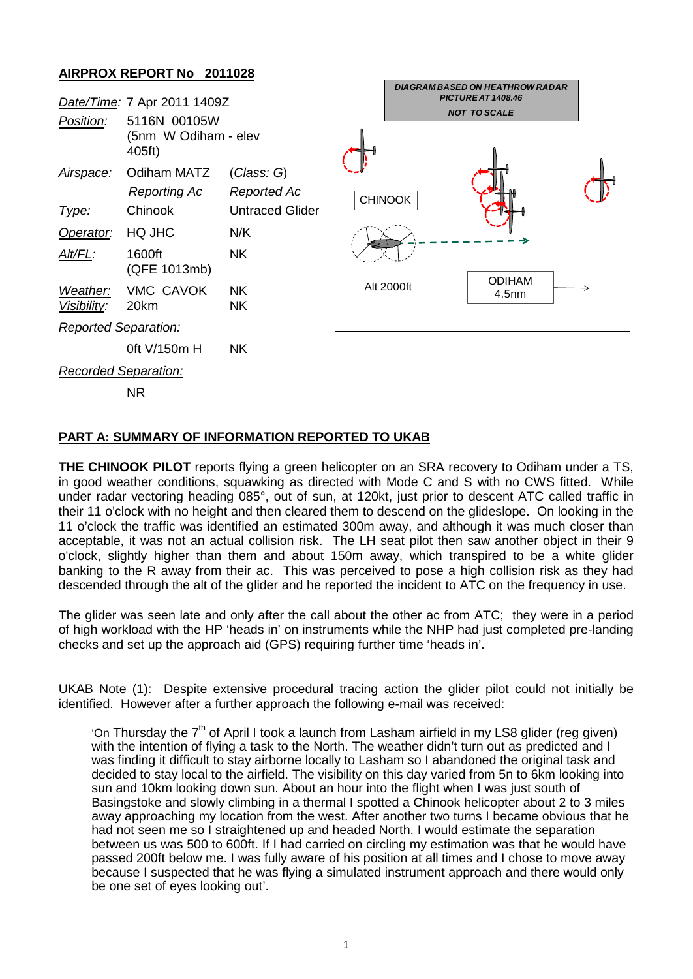## **AIRPROX REPORT No 2011028**

|                             |                                                |                        |  | <b>DIAGRAM BASED ON HEATHROW RADAR</b><br>PICTURE AT 1408.46 |                                    |  |
|-----------------------------|------------------------------------------------|------------------------|--|--------------------------------------------------------------|------------------------------------|--|
| Date/Time: 7 Apr 2011 1409Z |                                                |                        |  |                                                              | <b>NOT TO SCALE</b>                |  |
| Position:                   | 5116N 00105W<br>(5nm W Odiham - elev<br>405ft) |                        |  |                                                              |                                    |  |
| Airspace:                   | Odiham MATZ                                    | (Class: G)             |  |                                                              |                                    |  |
|                             | <b>Reporting Ac</b>                            | <b>Reported Ac</b>     |  | <b>CHINOOK</b>                                               |                                    |  |
| Type:                       | Chinook                                        | <b>Untraced Glider</b> |  |                                                              |                                    |  |
| Operator:                   | HQ JHC                                         | N/K                    |  |                                                              |                                    |  |
| Alt/FL:                     | 1600ft<br>(QFE 1013mb)                         | <b>NK</b>              |  |                                                              |                                    |  |
| Weather:<br>Visibility:     | VMC CAVOK<br>20km                              | <b>NK</b><br><b>NK</b> |  | Alt 2000ft                                                   | <b>ODIHAM</b><br>4.5 <sub>nm</sub> |  |
| <b>Reported Separation:</b> |                                                |                        |  |                                                              |                                    |  |
|                             | 0ft V/150m H                                   | <b>NK</b>              |  |                                                              |                                    |  |
| <b>Recorded Separation:</b> |                                                |                        |  |                                                              |                                    |  |
|                             | <b>NR</b>                                      |                        |  |                                                              |                                    |  |

## **PART A: SUMMARY OF INFORMATION REPORTED TO UKAB**

**THE CHINOOK PILOT** reports flying a green helicopter on an SRA recovery to Odiham under a TS, in good weather conditions, squawking as directed with Mode C and S with no CWS fitted. While under radar vectoring heading 085°, out of sun, at 120kt, just prior to descent ATC called traffic in their 11 o'clock with no height and then cleared them to descend on the glideslope. On looking in the 11 o'clock the traffic was identified an estimated 300m away, and although it was much closer than acceptable, it was not an actual collision risk. The LH seat pilot then saw another object in their 9 o'clock, slightly higher than them and about 150m away, which transpired to be a white glider banking to the R away from their ac. This was perceived to pose a high collision risk as they had descended through the alt of the glider and he reported the incident to ATC on the frequency in use.

The glider was seen late and only after the call about the other ac from ATC; they were in a period of high workload with the HP 'heads in' on instruments while the NHP had just completed pre-landing checks and set up the approach aid (GPS) requiring further time 'heads in'.

UKAB Note (1): Despite extensive procedural tracing action the glider pilot could not initially be identified. However after a further approach the following e-mail was received:

'On Thursday the  $7<sup>th</sup>$  of April I took a launch from Lasham airfield in my LS8 glider (reg given) with the intention of flying a task to the North. The weather didn't turn out as predicted and I was finding it difficult to stay airborne locally to Lasham so I abandoned the original task and decided to stay local to the airfield. The visibility on this day varied from 5n to 6km looking into sun and 10km looking down sun. About an hour into the flight when I was just south of Basingstoke and slowly climbing in a thermal I spotted a Chinook helicopter about 2 to 3 miles away approaching my location from the west. After another two turns I became obvious that he had not seen me so I straightened up and headed North. I would estimate the separation between us was 500 to 600ft. If I had carried on circling my estimation was that he would have passed 200ft below me. I was fully aware of his position at all times and I chose to move away because I suspected that he was flying a simulated instrument approach and there would only be one set of eyes looking out'.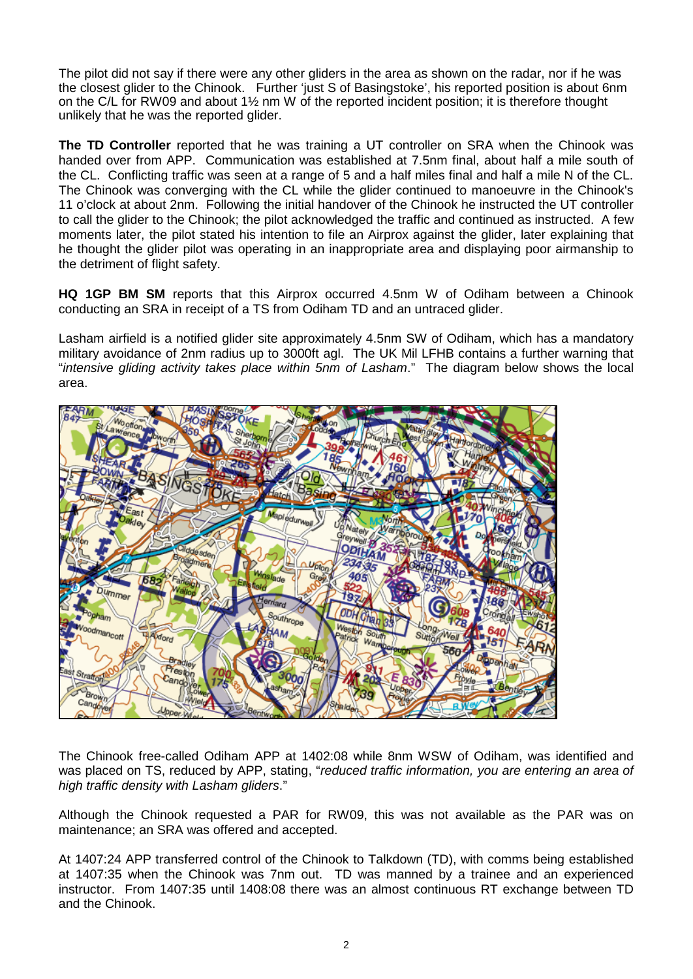The pilot did not say if there were any other gliders in the area as shown on the radar, nor if he was the closest glider to the Chinook. Further 'just S of Basingstoke', his reported position is about 6nm on the C/L for RW09 and about 1½ nm W of the reported incident position; it is therefore thought unlikely that he was the reported glider.

**The TD Controller** reported that he was training a UT controller on SRA when the Chinook was handed over from APP. Communication was established at 7.5nm final, about half a mile south of the CL. Conflicting traffic was seen at a range of 5 and a half miles final and half a mile N of the CL. The Chinook was converging with the CL while the glider continued to manoeuvre in the Chinook's 11 o'clock at about 2nm. Following the initial handover of the Chinook he instructed the UT controller to call the glider to the Chinook; the pilot acknowledged the traffic and continued as instructed. A few moments later, the pilot stated his intention to file an Airprox against the glider, later explaining that he thought the glider pilot was operating in an inappropriate area and displaying poor airmanship to the detriment of flight safety.

**HQ 1GP BM SM** reports that this Airprox occurred 4.5nm W of Odiham between a Chinook conducting an SRA in receipt of a TS from Odiham TD and an untraced glider.

Lasham airfield is a notified glider site approximately 4.5nm SW of Odiham, which has a mandatory military avoidance of 2nm radius up to 3000ft agl. The UK Mil LFHB contains a further warning that "*intensive gliding activity takes place within 5nm of Lasham*." The diagram below shows the local area.



The Chinook free-called Odiham APP at 1402:08 while 8nm WSW of Odiham, was identified and was placed on TS, reduced by APP, stating, "*reduced traffic information, you are entering an area of high traffic density with Lasham gliders*."

Although the Chinook requested a PAR for RW09, this was not available as the PAR was on maintenance; an SRA was offered and accepted.

At 1407:24 APP transferred control of the Chinook to Talkdown (TD), with comms being established at 1407:35 when the Chinook was 7nm out. TD was manned by a trainee and an experienced instructor. From 1407:35 until 1408:08 there was an almost continuous RT exchange between TD and the Chinook.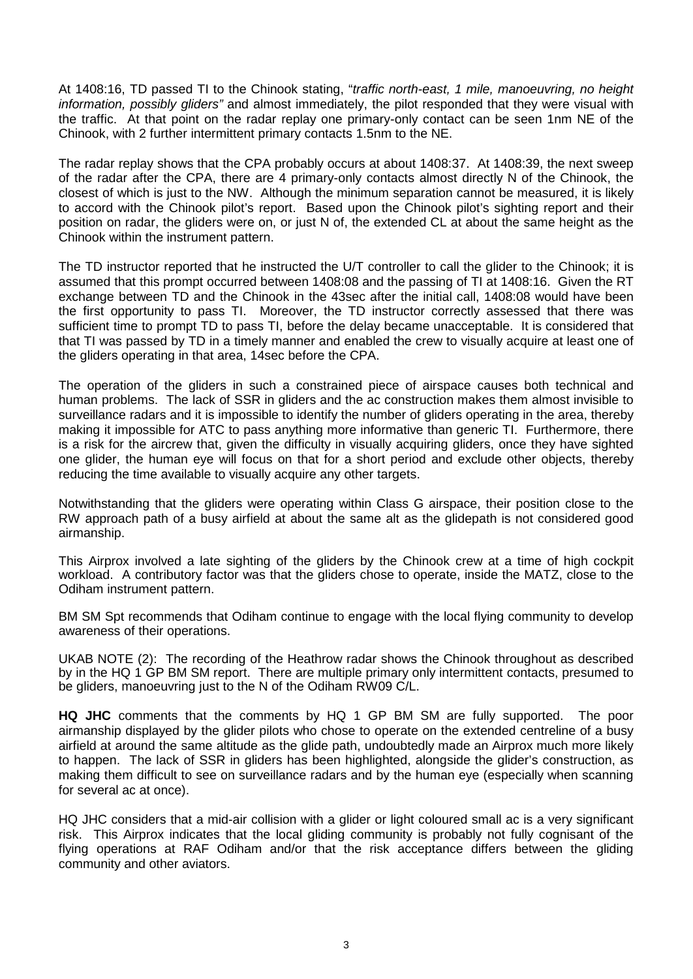At 1408:16, TD passed TI to the Chinook stating, "*traffic north-east, 1 mile, manoeuvring, no height information, possibly gliders"* and almost immediately, the pilot responded that they were visual with the traffic. At that point on the radar replay one primary-only contact can be seen 1nm NE of the Chinook, with 2 further intermittent primary contacts 1.5nm to the NE.

The radar replay shows that the CPA probably occurs at about 1408:37. At 1408:39, the next sweep of the radar after the CPA, there are 4 primary-only contacts almost directly N of the Chinook, the closest of which is just to the NW. Although the minimum separation cannot be measured, it is likely to accord with the Chinook pilot's report. Based upon the Chinook pilot's sighting report and their position on radar, the gliders were on, or just N of, the extended CL at about the same height as the Chinook within the instrument pattern.

The TD instructor reported that he instructed the U/T controller to call the glider to the Chinook; it is assumed that this prompt occurred between 1408:08 and the passing of TI at 1408:16. Given the RT exchange between TD and the Chinook in the 43sec after the initial call, 1408:08 would have been the first opportunity to pass TI. Moreover, the TD instructor correctly assessed that there was sufficient time to prompt TD to pass TI, before the delay became unacceptable. It is considered that that TI was passed by TD in a timely manner and enabled the crew to visually acquire at least one of the gliders operating in that area, 14sec before the CPA.

The operation of the gliders in such a constrained piece of airspace causes both technical and human problems. The lack of SSR in gliders and the ac construction makes them almost invisible to surveillance radars and it is impossible to identify the number of gliders operating in the area, thereby making it impossible for ATC to pass anything more informative than generic TI. Furthermore, there is a risk for the aircrew that, given the difficulty in visually acquiring gliders, once they have sighted one glider, the human eye will focus on that for a short period and exclude other objects, thereby reducing the time available to visually acquire any other targets.

Notwithstanding that the gliders were operating within Class G airspace, their position close to the RW approach path of a busy airfield at about the same alt as the glidepath is not considered good airmanship.

This Airprox involved a late sighting of the gliders by the Chinook crew at a time of high cockpit workload. A contributory factor was that the gliders chose to operate, inside the MATZ, close to the Odiham instrument pattern.

BM SM Spt recommends that Odiham continue to engage with the local flying community to develop awareness of their operations.

UKAB NOTE (2): The recording of the Heathrow radar shows the Chinook throughout as described by in the HQ 1 GP BM SM report. There are multiple primary only intermittent contacts, presumed to be gliders, manoeuvring just to the N of the Odiham RW09 C/L.

**HQ JHC** comments that the comments by HQ 1 GP BM SM are fully supported. The poor airmanship displayed by the glider pilots who chose to operate on the extended centreline of a busy airfield at around the same altitude as the glide path, undoubtedly made an Airprox much more likely to happen. The lack of SSR in gliders has been highlighted, alongside the glider's construction, as making them difficult to see on surveillance radars and by the human eye (especially when scanning for several ac at once).

HQ JHC considers that a mid-air collision with a glider or light coloured small ac is a very significant risk. This Airprox indicates that the local gliding community is probably not fully cognisant of the flying operations at RAF Odiham and/or that the risk acceptance differs between the gliding community and other aviators.